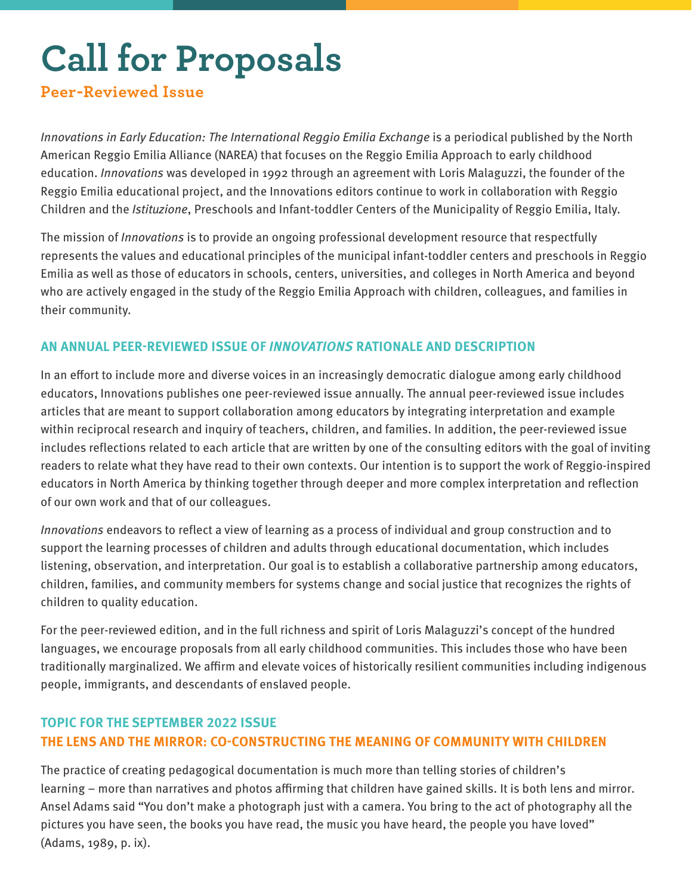# **Call for Proposals**

## **Peer-Reviewed Issue**

Innovations in Early Education: The International Reggio Emilia Exchange is a periodical published by the North American Reggio Emilia Alliance (NAREA) that focuses on the Reggio Emilia Approach to early childhood education. *Innovations* was developed in 1992 through an agreement with Loris Malaguzzi, the founder of the Reggio Emilia educational project, and the Innovations editors continue to work in collaboration with Reggio Children and the Istituzione, Preschools and Infant-toddler Centers of the Municipality of Reggio Emilia, Italy.

The mission of *Innovations* is to provide an ongoing professional development resource that respectfully represents the values and educational principles of the municipal infant-toddler centers and preschools in Reggio Emilia as well as those of educators in schools, centers, universities, and colleges in North America and beyond who are actively engaged in the study of the Reggio Emilia Approach with children, colleagues, and families in their community.

## **AN ANNUAL PEER-REVIEWED ISSUE OF INNOVATIONS RATIONALE AND DESCRIPTION**

In an effort to include more and diverse voices in an increasingly democratic dialogue among early childhood educators, Innovations publishes one peer-reviewed issue annually. The annual peer-reviewed issue includes articles that are meant to support collaboration among educators by integrating interpretation and example within reciprocal research and inquiry of teachers, children, and families. In addition, the peer-reviewed issue includes reflections related to each article that are written by one of the consulting editors with the goal of inviting readers to relate what they have read to their own contexts. Our intention is to support the work of Reggio-inspired educators in North America by thinking together through deeper and more complex interpretation and reflection of our own work and that of our colleagues.

Innovations endeavors to reflect a view of learning as a process of individual and group construction and to support the learning processes of children and adults through educational documentation, which includes listening, observation, and interpretation. Our goal is to establish a collaborative partnership among educators, children, families, and community members for systems change and social justice that recognizes the rights of children to quality education.

For the peer-reviewed edition, and in the full richness and spirit of Loris Malaguzzi's concept of the hundred languages, we encourage proposals from all early childhood communities. This includes those who have been traditionally marginalized. We affirm and elevate voices of historically resilient communities including indigenous people, immigrants, and descendants of enslaved people.

## **TOPIC FOR THE SEPTEMBER 2022 ISSUE THE LENS AND THE MIRROR: CO-CONSTRUCTING THE MEANING OF COMMUNITY WITH CHILDREN**

The practice of creating pedagogical documentation is much more than telling stories of children's learning – more than narratives and photos affirming that children have gained skills. It is both lens and mirror. Ansel Adams said "You don't make a photograph just with a camera. You bring to the act of photography all the pictures you have seen, the books you have read, the music you have heard, the people you have loved" (Adams, 1989, p. ix).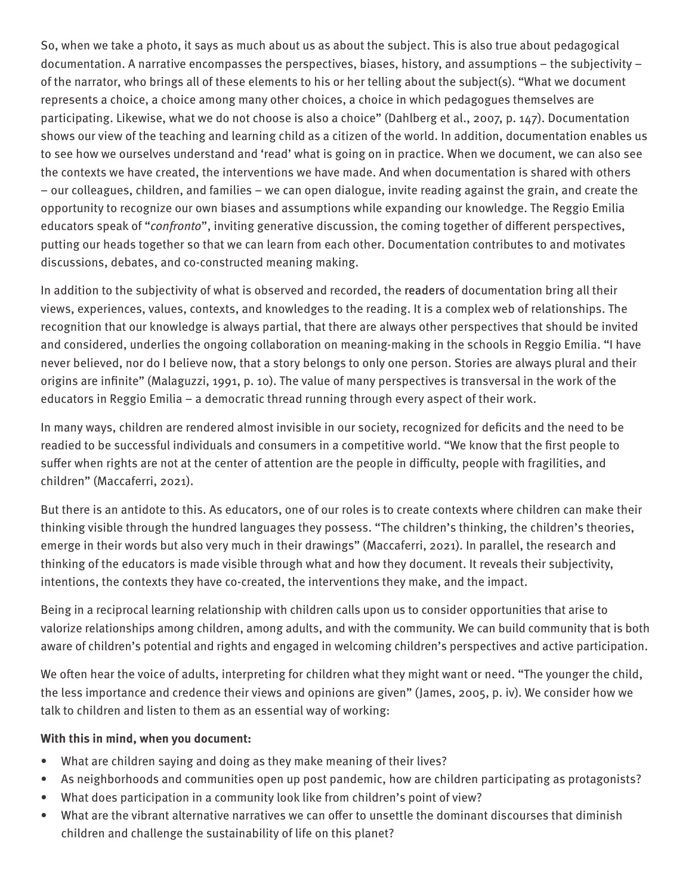So, when we take a photo, it says as much about us as about the subject. This is also true about pedagogical documentation. A narrative encompasses the perspectives, biases, history, and assumptions – the subjectivity – of the narrator, who brings all of these elements to his or her telling about the subject(s). "What we document represents a choice, a choice among many other choices, a choice in which pedagogues themselves are participating. Likewise, what we do not choose is also a choice" (Dahlberg et al., 2007, p. 147). Documentation shows our view of the teaching and learning child as a citizen of the world. In addition, documentation enables us to see how we ourselves understand and 'read' what is going on in practice. When we document, we can also see the contexts we have created, the interventions we have made. And when documentation is shared with others – our colleagues, children, and families – we can open dialogue, invite reading against the grain, and create the opportunity to recognize our own biases and assumptions while expanding our knowledge. The Reggio Emilia educators speak of "confronto", inviting generative discussion, the coming together of different perspectives, putting our heads together so that we can learn from each other. Documentation contributes to and motivates discussions, debates, and co-constructed meaning making.

In addition to the subjectivity of what is observed and recorded, the readers of documentation bring all their views, experiences, values, contexts, and knowledges to the reading. It is a complex web of relationships. The recognition that our knowledge is always partial, that there are always other perspectives that should be invited and considered, underlies the ongoing collaboration on meaning-making in the schools in Reggio Emilia. "I have never believed, nor do I believe now, that a story belongs to only one person. Stories are always plural and their origins are infinite" (Malaguzzi, 1991, p. 10). The value of many perspectives is transversal in the work of the educators in Reggio Emilia – a democratic thread running through every aspect of their work.

In many ways, children are rendered almost invisible in our society, recognized for deficits and the need to be readied to be successful individuals and consumers in a competitive world. "We know that the first people to suffer when rights are not at the center of attention are the people in difficulty, people with fragilities, and children" (Maccaferri, 2021).

But there is an antidote to this. As educators, one of our roles is to create contexts where children can make their thinking visible through the hundred languages they possess. "The children's thinking, the children's theories, emerge in their words but also very much in their drawings" (Maccaferri, 2021). In parallel, the research and thinking of the educators is made visible through what and how they document. It reveals their subjectivity, intentions, the contexts they have co-created, the interventions they make, and the impact.

Being in a reciprocal learning relationship with children calls upon us to consider opportunities that arise to valorize relationships among children, among adults, and with the community. We can build community that is both aware of children's potential and rights and engaged in welcoming children's perspectives and active participation.

We often hear the voice of adults, interpreting for children what they might want or need. "The younger the child, the less importance and credence their views and opinions are given" (James, 2005, p. iv). We consider how we talk to children and listen to them as an essential way of working:

#### **With this in mind, when you document:**

- What are children saying and doing as they make meaning of their lives?
- As neighborhoods and communities open up post pandemic, how are children participating as protagonists?
- What does participation in a community look like from children's point of view?
- What are the vibrant alternative narratives we can offer to unsettle the dominant discourses that diminish children and challenge the sustainability of life on this planet?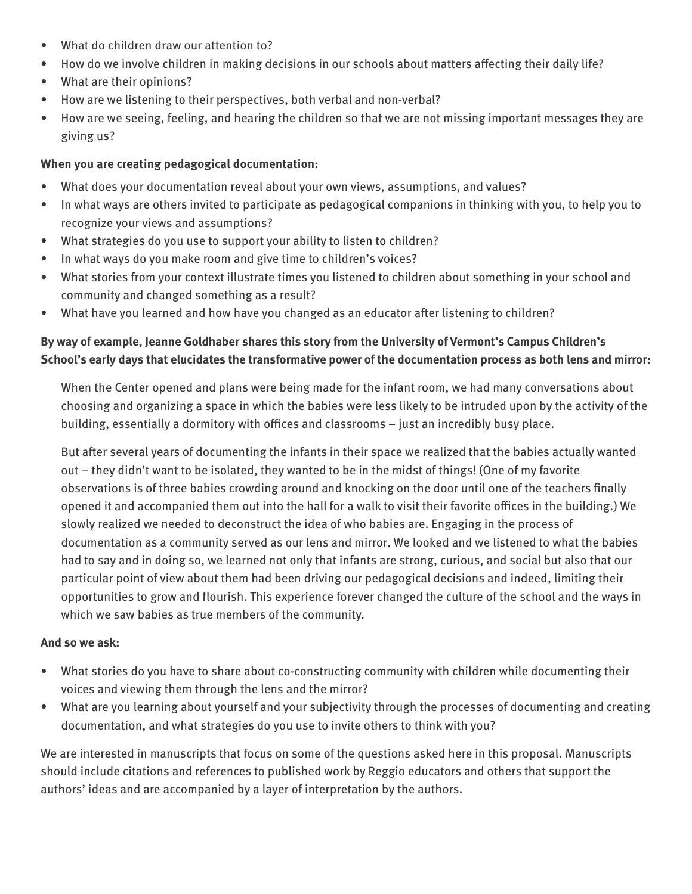- What do children draw our attention to?
- How do we involve children in making decisions in our schools about matters affecting their daily life?
- What are their opinions?
- How are we listening to their perspectives, both verbal and non-verbal?
- How are we seeing, feeling, and hearing the children so that we are not missing important messages they are giving us?

### **When you are creating pedagogical documentation:**

- What does your documentation reveal about your own views, assumptions, and values?
- In what ways are others invited to participate as pedagogical companions in thinking with you, to help you to recognize your views and assumptions?
- What strategies do you use to support your ability to listen to children?
- In what ways do you make room and give time to children's voices?
- What stories from your context illustrate times you listened to children about something in your school and community and changed something as a result?
- What have you learned and how have you changed as an educator after listening to children?

## **By way of example, Jeanne Goldhaber shares this story from the University of Vermont's Campus Children's School's early days that elucidates the transformative power of the documentation process as both lens and mirror:**

When the Center opened and plans were being made for the infant room, we had many conversations about choosing and organizing a space in which the babies were less likely to be intruded upon by the activity of the building, essentially a dormitory with offices and classrooms – just an incredibly busy place.

But after several years of documenting the infants in their space we realized that the babies actually wanted out – they didn't want to be isolated, they wanted to be in the midst of things! (One of my favorite observations is of three babies crowding around and knocking on the door until one of the teachers finally opened it and accompanied them out into the hall for a walk to visit their favorite offices in the building.) We slowly realized we needed to deconstruct the idea of who babies are. Engaging in the process of documentation as a community served as our lens and mirror. We looked and we listened to what the babies had to say and in doing so, we learned not only that infants are strong, curious, and social but also that our particular point of view about them had been driving our pedagogical decisions and indeed, limiting their opportunities to grow and flourish. This experience forever changed the culture of the school and the ways in which we saw babies as true members of the community.

#### **And so we ask:**

- What stories do you have to share about co-constructing community with children while documenting their voices and viewing them through the lens and the mirror?
- What are you learning about yourself and your subjectivity through the processes of documenting and creating documentation, and what strategies do you use to invite others to think with you?

We are interested in manuscripts that focus on some of the questions asked here in this proposal. Manuscripts should include citations and references to published work by Reggio educators and others that support the authors' ideas and are accompanied by a layer of interpretation by the authors.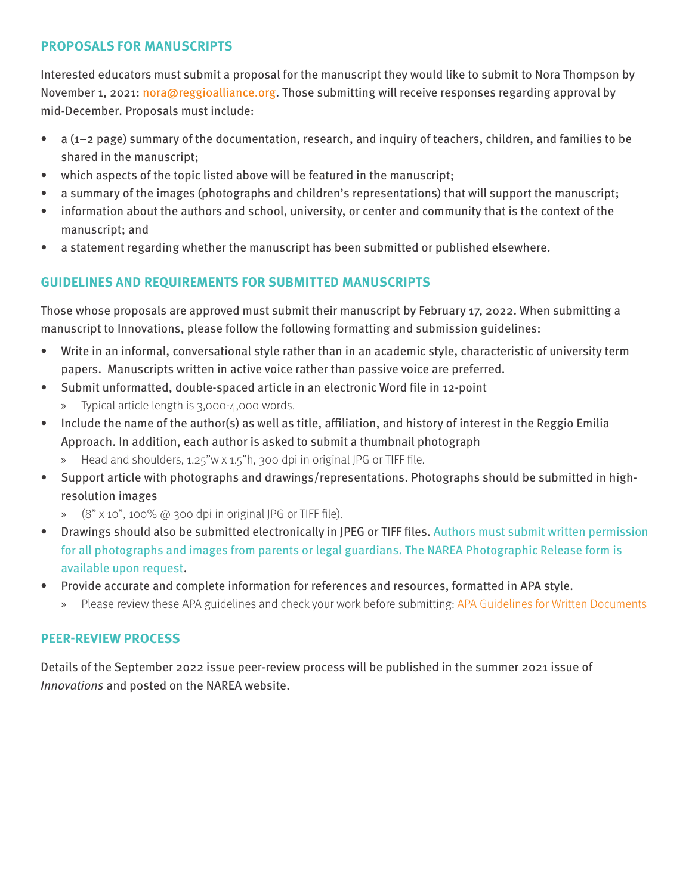### **PROPOSALS FOR MANUSCRIPTS**

Interested educators must submit a proposal for the manuscript they would like to submit to Nora Thompson by November 1, 2021: nora@reggioalliance.org. Those submitting will receive responses regarding approval by mid-December. Proposals must include:

- a (1–2 page) summary of the documentation, research, and inquiry of teachers, children, and families to be shared in the manuscript;
- which aspects of the topic listed above will be featured in the manuscript;
- a summary of the images (photographs and children's representations) that will support the manuscript;
- information about the authors and school, university, or center and community that is the context of the manuscript; and
- a statement regarding whether the manuscript has been submitted or published elsewhere.

## **GUIDELINES AND REQUIREMENTS FOR SUBMITTED MANUSCRIPTS**

Those whose proposals are approved must submit their manuscript by February 17, 2022. When submitting a manuscript to Innovations, please follow the following formatting and submission guidelines:

- Write in an informal, conversational style rather than in an academic style, characteristic of university term papers. Manuscripts written in active voice rather than passive voice are preferred.
- Submit unformatted, double-spaced article in an electronic Word file in 12-point
	- » Typical article length is 3,000-4,000 words.
- Include the name of the author(s) as well as title, affiliation, and history of interest in the Reggio Emilia Approach. In addition, each author is asked to submit a thumbnail photograph
	- » Head and shoulders, 1.25"w x 1.5"h, 300 dpi in original JPG or TIFF file.
- Support article with photographs and drawings/representations. Photographs should be submitted in highresolution images
	- » (8" x 10", 100% @ 300 dpi in original JPG or TIFF file).
- Drawings should also be submitted electronically in JPEG or TIFF files. Authors must submit written permission for all photographs and images from parents or legal guardians. The NAREA Photographic Release form is available upon request.
- Provide accurate and complete information for references and resources, formatted in APA style.
	- » Please review these APA guidelines and check your work before submitting: APA Guidelines for Written Documents

## **PEER-REVIEW PROCESS**

Details of the September 2022 issue peer-review process will be published in the summer 2021 issue of Innovations and posted on the NAREA website.